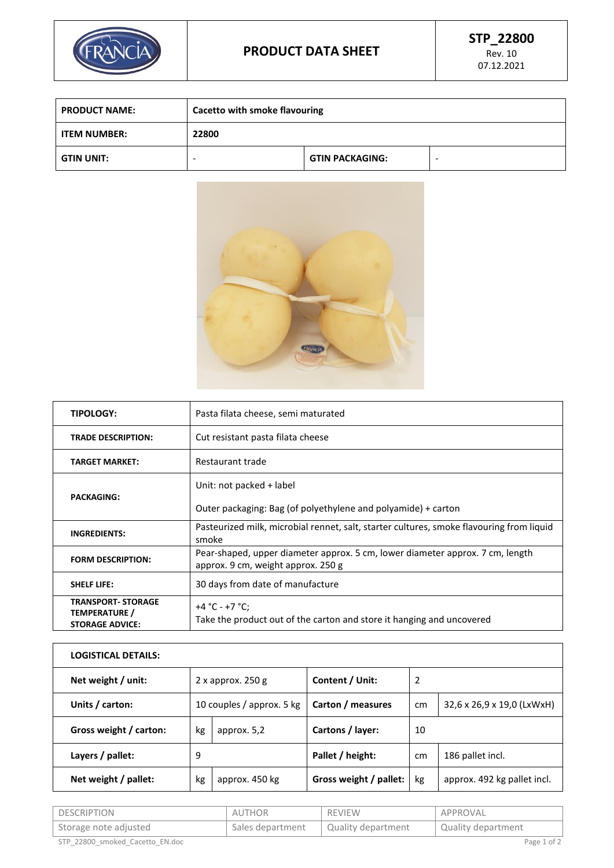

| <b>PRODUCT NAME:</b> | Cacetto with smoke flavouring |                        |  |
|----------------------|-------------------------------|------------------------|--|
| <b>ITEM NUMBER:</b>  | 22800                         |                        |  |
| <b>GTIN UNIT:</b>    | -                             | <b>GTIN PACKAGING:</b> |  |



| <b>TIPOLOGY:</b>                                                            | Pasta filata cheese, semi maturated                                                                                 |  |  |
|-----------------------------------------------------------------------------|---------------------------------------------------------------------------------------------------------------------|--|--|
| <b>TRADE DESCRIPTION:</b>                                                   | Cut resistant pasta filata cheese                                                                                   |  |  |
| <b>TARGET MARKET:</b>                                                       | Restaurant trade                                                                                                    |  |  |
|                                                                             | Unit: not packed + label                                                                                            |  |  |
| <b>PACKAGING:</b>                                                           | Outer packaging: Bag (of polyethylene and polyamide) + carton                                                       |  |  |
| <b>INGREDIENTS:</b>                                                         | Pasteurized milk, microbial rennet, salt, starter cultures, smoke flavouring from liquid<br>smoke                   |  |  |
| <b>FORM DESCRIPTION:</b>                                                    | Pear-shaped, upper diameter approx. 5 cm, lower diameter approx. 7 cm, length<br>approx. 9 cm, weight approx. 250 g |  |  |
| <b>SHELF LIFE:</b>                                                          | 30 days from date of manufacture                                                                                    |  |  |
| <b>TRANSPORT- STORAGE</b><br><b>TEMPERATURE /</b><br><b>STORAGE ADVICE:</b> | +4 °C - +7 °C;<br>Take the product out of the carton and store it hanging and uncovered                             |  |  |

| <b>LOGISTICAL DETAILS:</b> |                           |                |                        |    |                             |
|----------------------------|---------------------------|----------------|------------------------|----|-----------------------------|
| Net weight / unit:         | $2x$ approx. 250 g        |                | Content / Unit:        | 2  |                             |
| Units / carton:            | 10 couples / approx. 5 kg |                | Carton / measures      | cm | 32,6 x 26,9 x 19,0 (LxWxH)  |
| Gross weight / carton:     | kg                        | approx. 5,2    | Cartons / layer:       | 10 |                             |
| Layers / pallet:           | 9                         |                | Pallet / height:       | cm | 186 pallet incl.            |
| Net weight / pallet:       | kg                        | approx. 450 kg | Gross weight / pallet: | kg | approx. 492 kg pallet incl. |

| DESCRIPTION                     | AUTHOR           | <b>REVIEW</b>      | APPROVAL           |
|---------------------------------|------------------|--------------------|--------------------|
| 'Storage note adjusted          | Sales department | Quality department | Quality department |
| STP 22800 smoked Cacetto EN.doc |                  |                    | Page 1 of 2        |